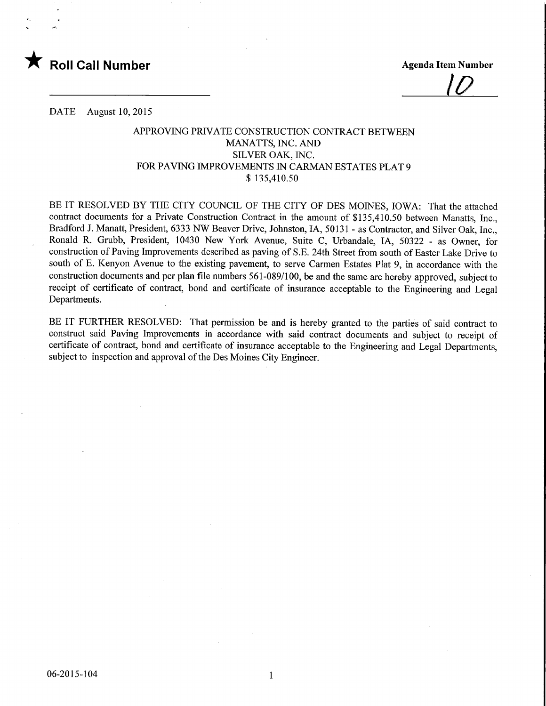

 $|U|$ 

DATE August 10, 2015

## APPROVING PRIVATE CONSTRUCTION CONTRACT BETWEEN MANATTS, INC. AND SILVER OAK, INC. FOR PAVING IMPROVEMENTS IN CARMAN ESTATES PLAT 9 \$ 135,410.50

BE IT RESOLVED BY THE CITY COUNCIL OF THE CITY OF DES MOINES, IOWA: That the attached contract documents for a Private Construction Contract in the amount of \$135,410.50 between Manatts, Inc., Bradford J. Manatt, President, 6333 NW Beaver Drive, Johnston, IA, 50131 - as Contractor, and Silver Oak, Inc., Ronald R. Grubb, President, 10430 New York Avenue, Suite C, Urbandale, IA, 50322 - as Owner, for construction of Paving Improvements described as paving of S.E. 24th Street from south of Easter Lake Drive to south of E. Kenyon Avenue to the existing pavement, to serve Carmen Estates Plat 9, in accordance with the construction documents and per plan file numbers 561-089/100, be and the same are hereby approved, subject to receipt of certificate of contract, bond and certificate of insurance acceptable to the Engineering and Legal Departments.

BE IT FURTHER RESOLVED: That permission be and is hereby granted to the parties of said contract to construct said Paving Improvements in accordance with said contract documents and subject to receipt of certificate of contract, bond and certificate of insurance acceptable to the Engineering and Legal Departments, subject to inspection and approval of the Des Moines City Engineer.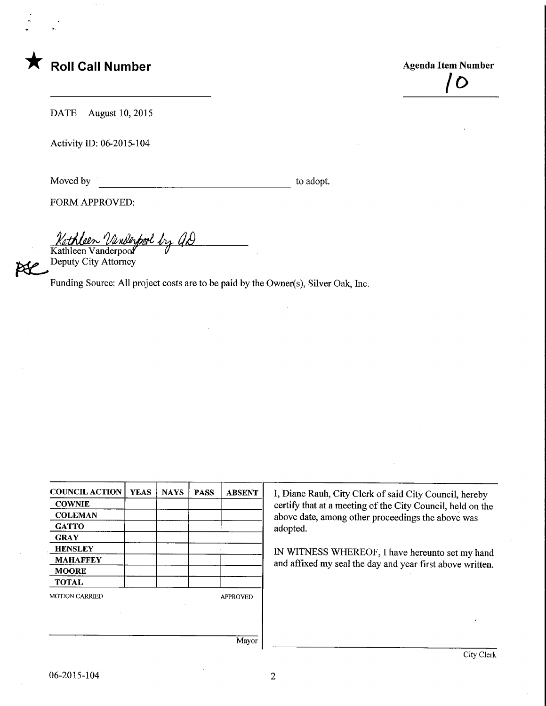

 $\overline{O}$ 

DATE August 10, 2015

Activity ID: 06-2015-104

Moved by to adopt.

FORM APPROVED:

Kathleen Vanderpool by as Kathleen Vanderpool

Deputy City Attorney

Funding Source: All project costs are to be paid by the Owner(s), Silver Oak, Inc.

| <b>COUNCIL ACTION</b> | <b>YEAS</b> | <b>NAYS</b> | <b>PASS</b> | <b>ABSENT</b>   |
|-----------------------|-------------|-------------|-------------|-----------------|
| <b>COWNIE</b>         |             |             |             |                 |
| <b>COLEMAN</b>        |             |             |             |                 |
| <b>GATTO</b>          |             |             |             |                 |
| <b>GRAY</b>           |             |             |             |                 |
| <b>HENSLEY</b>        |             |             |             |                 |
| <b>MAHAFFEY</b>       |             |             |             |                 |
| <b>MOORE</b>          |             |             |             |                 |
| <b>TOTAL</b>          |             |             |             |                 |
| <b>MOTION CARRIED</b> |             |             |             | <b>APPROVED</b> |
|                       |             |             |             |                 |
|                       |             |             |             |                 |

I, Diane Rauh, City Clerk of said City Council, hereby certify that at a meeting of the City Council, held on the above date, among other proceedings the above was adopted.

IN WITNESS WHEREOF, I have hereunto set my hand and affixed my seal the day and year first above written.

Mayor